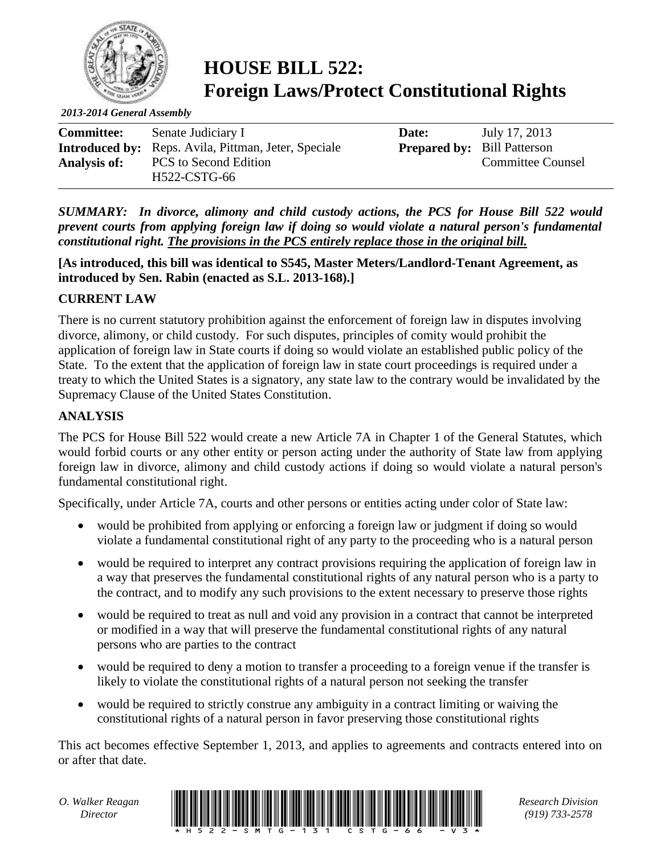

## **HOUSE BILL 522: Foreign Laws/Protect Constitutional Rights**

*2013-2014 General Assembly*

| <b>Committee:</b>   | Senate Judiciary I                                          | Date:                              | July 17, 2013            |
|---------------------|-------------------------------------------------------------|------------------------------------|--------------------------|
|                     | <b>Introduced by:</b> Reps. Avila, Pittman, Jeter, Speciale | <b>Prepared by:</b> Bill Patterson |                          |
| <b>Analysis of:</b> | <b>PCS</b> to Second Edition<br>H522-CSTG-66                |                                    | <b>Committee Counsel</b> |

*SUMMARY: In divorce, alimony and child custody actions, the PCS for House Bill 522 would prevent courts from applying foreign law if doing so would violate a natural person's fundamental constitutional right. The provisions in the PCS entirely replace those in the original bill.*

**[As introduced, this bill was identical to S545, Master Meters/Landlord-Tenant Agreement, as introduced by Sen. Rabin (enacted as S.L. 2013-168).]**

## **CURRENT LAW**

There is no current statutory prohibition against the enforcement of foreign law in disputes involving divorce, alimony, or child custody. For such disputes, principles of comity would prohibit the application of foreign law in State courts if doing so would violate an established public policy of the State. To the extent that the application of foreign law in state court proceedings is required under a treaty to which the United States is a signatory, any state law to the contrary would be invalidated by the Supremacy Clause of the United States Constitution.

## **ANALYSIS**

The PCS for House Bill 522 would create a new Article 7A in Chapter 1 of the General Statutes, which would forbid courts or any other entity or person acting under the authority of State law from applying foreign law in divorce, alimony and child custody actions if doing so would violate a natural person's fundamental constitutional right.

Specifically, under Article 7A, courts and other persons or entities acting under color of State law:

- would be prohibited from applying or enforcing a foreign law or judgment if doing so would violate a fundamental constitutional right of any party to the proceeding who is a natural person
- would be required to interpret any contract provisions requiring the application of foreign law in a way that preserves the fundamental constitutional rights of any natural person who is a party to the contract, and to modify any such provisions to the extent necessary to preserve those rights
- would be required to treat as null and void any provision in a contract that cannot be interpreted or modified in a way that will preserve the fundamental constitutional rights of any natural persons who are parties to the contract
- would be required to deny a motion to transfer a proceeding to a foreign venue if the transfer is likely to violate the constitutional rights of a natural person not seeking the transfer
- would be required to strictly construe any ambiguity in a contract limiting or waiving the constitutional rights of a natural person in favor preserving those constitutional rights

This act becomes effective September 1, 2013, and applies to agreements and contracts entered into on or after that date.



*(919) 733-2578*